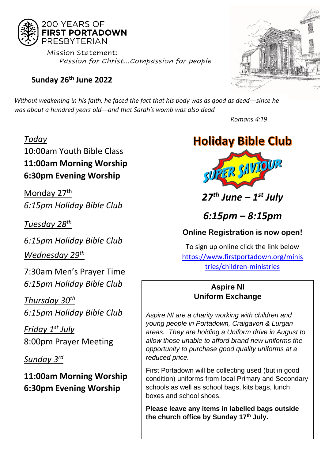

 Mission Statement:  *Passion for Christ…Compassion for people*

### **Sunday 26th June 2022**



*Without weakening in his faith, he faced the fact that his body was as good as dead—since he was about a hundred years old—and that Sarah's womb was also dead.*

*Today*

10:00am Youth Bible Class **11:00am Morning Worship 6:30pm Evening Worship** 

Monday 27<sup>th</sup> *6:15pm Holiday Bible Club*

*Tuesday 28 th*

*6:15pm Holiday Bible Club Wednesday 29 th*

7:30am Men's Prayer Time *6:15pm Holiday Bible Club*

*Thursday 30th 6:15pm Holiday Bible Club*

*Friday 1st July* 8:00pm Prayer Meeting

*Sunday 3rd*

**11:00am Morning Worship 6:30pm Evening Worship**

*Romans 4:19* 



# *27th June – 1 st July*

## *6:15pm – 8:15pm*

### **Online Registration is now open!**

To sign up online click the link below [https://www.firstportadown.org/minis](https://www.firstportadown.org/ministries/children-ministries) [tries/children-ministries](https://www.firstportadown.org/ministries/children-ministries)

### **Aspire NI Uniform Exchange**

*Aspire NI are a charity working with children and young people in Portadown, Craigavon & Lurgan areas. They are holding a Uniform drive in August to allow those unable to afford brand new uniforms the opportunity to purchase good quality uniforms at a reduced price.* 

First Portadown will be collecting used (but in good condition) uniforms from local Primary and Secondary schools as well as school bags, kits bags, lunch boxes and school shoes.

**Please leave any items in labelled bags outside the church office by Sunday 17th July.**